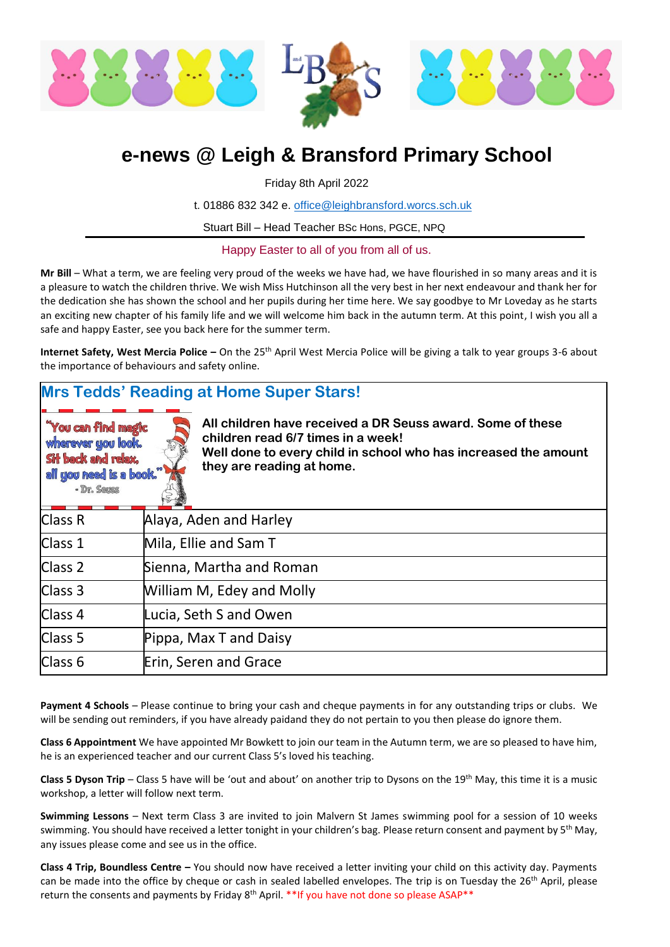

## **e-news @ Leigh & Bransford Primary School**

Friday 8th April 2022

t. 01886 832 342 e. [office@leighbransford.worcs.sch.uk](mailto:office@leighbransford.worcs.sch.uk)

Stuart Bill – Head Teacher BSc Hons, PGCE, NPQ

Happy Easter to all of you from all of us.

**Mr Bill** – What a term, we are feeling very proud of the weeks we have had, we have flourished in so many areas and it is a pleasure to watch the children thrive. We wish Miss Hutchinson all the very best in her next endeavour and thank her for the dedication she has shown the school and her pupils during her time here. We say goodbye to Mr Loveday as he starts an exciting new chapter of his family life and we will welcome him back in the autumn term. At this point, I wish you all a safe and happy Easter, see you back here for the summer term.

**Internet Safety, West Mercia Police –** On the 25th April West Mercia Police will be giving a talk to year groups 3-6 about the importance of behaviours and safety online.

### **Mrs Tedds' Reading at Home Super Stars!**



**All children have received a DR Seuss award. Some of these children read 6/7 times in a week! Well done to every child in school who has increased the amount they are reading at home.**

| Class R | Alaya, Aden and Harley    |
|---------|---------------------------|
| Class 1 | Mila, Ellie and Sam T     |
| Class 2 | Sienna, Martha and Roman  |
| Class 3 | William M, Edey and Molly |
| Class 4 | Lucia, Seth S and Owen    |
| Class 5 | Pippa, Max T and Daisy    |
| Class 6 | Erin, Seren and Grace     |

**Payment 4 Schools** – Please continue to bring your cash and cheque payments in for any outstanding trips or clubs. We will be sending out reminders, if you have already paidand they do not pertain to you then please do ignore them.

**Class 6 Appointment** We have appointed Mr Bowkett to join our team in the Autumn term, we are so pleased to have him, he is an experienced teacher and our current Class 5's loved his teaching.

**Class 5 Dyson Trip** – Class 5 have will be 'out and about' on another trip to Dysons on the 19th May, this time it is a music workshop, a letter will follow next term.

**Swimming Lessons** – Next term Class 3 are invited to join Malvern St James swimming pool for a session of 10 weeks swimming. You should have received a letter tonight in your children's bag. Please return consent and payment by 5<sup>th</sup> May, any issues please come and see us in the office.

**Class 4 Trip, Boundless Centre –** You should now have received a letter inviting your child on this activity day. Payments can be made into the office by cheque or cash in sealed labelled envelopes. The trip is on Tuesday the 26<sup>th</sup> April, please return the consents and payments by Friday  $8<sup>th</sup>$  April. \*\*If you have not done so please ASAP\*\*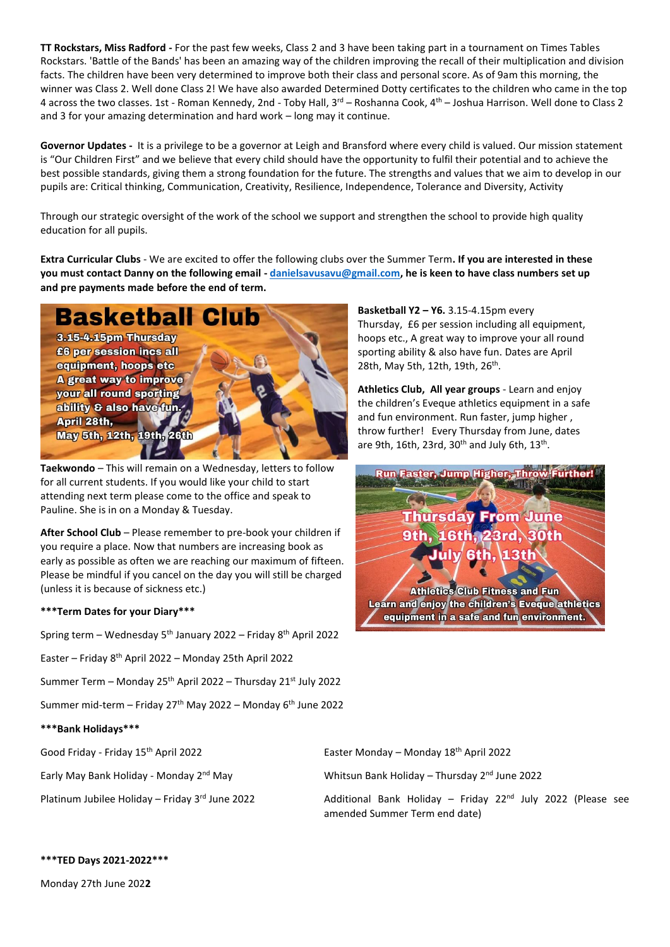**TT Rockstars, Miss Radford -** For the past few weeks, Class 2 and 3 have been taking part in a tournament on Times Tables Rockstars. 'Battle of the Bands' has been an amazing way of the children improving the recall of their multiplication and division facts. The children have been very determined to improve both their class and personal score. As of 9am this morning, the winner was Class 2. Well done Class 2! We have also awarded Determined Dotty certificates to the children who came in the top 4 across the two classes. 1st - Roman Kennedy, 2nd - Toby Hall, 3<sup>rd</sup> – Roshanna Cook, 4<sup>th</sup> – Joshua Harrison. Well done to Class 2 and 3 for your amazing determination and hard work – long may it continue.

**Governor Updates -** It is a privilege to be a governor at Leigh and Bransford where every child is valued. Our mission statement is "Our Children First" and we believe that every child should have the opportunity to fulfil their potential and to achieve the best possible standards, giving them a strong foundation for the future. The strengths and values that we aim to develop in our pupils are: Critical thinking, Communication, Creativity, Resilience, Independence, Tolerance and Diversity, Activity

Through our strategic oversight of the work of the school we support and strengthen the school to provide high quality education for all pupils.

**Extra Curricular Clubs** - We are excited to offer the following clubs over the Summer Term**. If you are interested in these you must contact Danny on the following email - [danielsavusavu@gmail.com,](mailto:danielsavusavu@gmail.com) he is keen to have class numbers set up and pre payments made before the end of term.** 



**Taekwondo** – This will remain on a Wednesday, letters to follow for all current students. If you would like your child to start attending next term please come to the office and speak to Pauline. She is in on a Monday & Tuesday.

**After School Club** – Please remember to pre-book your children if you require a place. Now that numbers are increasing book as early as possible as often we are reaching our maximum of fifteen. Please be mindful if you cancel on the day you will still be charged (unless it is because of sickness etc.)

#### **\*\*\*Term Dates for your Diary\*\*\***

Spring term – Wednesday 5th January 2022 – Friday 8th April 2022

Easter – Friday 8th April 2022 – Monday 25th April 2022

Summer Term - Monday 25<sup>th</sup> April 2022 - Thursday 21<sup>st</sup> July 2022

Summer mid-term - Friday 27<sup>th</sup> May 2022 - Monday 6<sup>th</sup> June 2022

#### **\*\*\*Bank Holidays\*\*\***

**Basketball Y2 – Y6.** 3.15-4.15pm every Thursday, £6 per session including all equipment, hoops etc., A great way to improve your all round sporting ability & also have fun. Dates are April 28th, May 5th, 12th, 19th, 26<sup>th</sup>.

**Athletics Club, All year groups** - Learn and enjoy the children's Eveque athletics equipment in a safe and fun environment. Run faster, jump higher , throw further! Every Thursday from June, dates are 9th, 16th, 23rd, 30<sup>th</sup> and July 6th, 13<sup>th</sup>.



Good Friday - Friday 15<sup>th</sup> April 2022 **Easter Monday – Monday 18<sup>th</sup> April 2022** 

Early May Bank Holiday - Monday 2<sup>nd</sup> May Nation Mank Holiday – Thursday 2<sup>nd</sup> June 2022

Platinum Jubilee Holiday – Friday 3<sup>rd</sup> June 2022 Additional Bank Holiday – Friday 22<sup>nd</sup> July 2022 (Please see amended Summer Term end date)

#### **\*\*\*TED Days 2021-2022\*\*\***

Monday 27th June 202**2**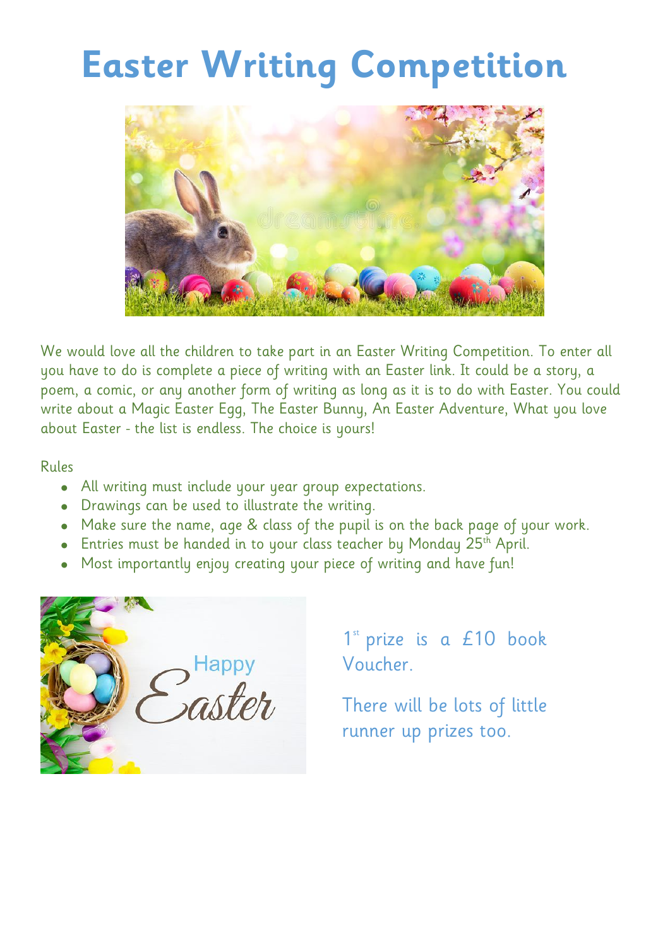# **Easter Writing Competition**



We would love all the children to take part in an Easter Writing Competition. To enter all you have to do is complete a piece of writing with an Easter link. It could be a story, a poem, a comic, or any another form of writing as long as it is to do with Easter. You could write about a Magic Easter Egg, The Easter Bunny, An Easter Adventure, What you love about Easter - the list is endless. The choice is yours!

Rules

- All writing must include your year group expectations.
- Drawings can be used to illustrate the writing.
- Make sure the name, age & class of the pupil is on the back page of your work.
- Entries must be handed in to your class teacher by Monday 25<sup>th</sup> April.
- Most importantly enjoy creating your piece of writing and have fun!



1<sup>st</sup> prize is a £10 book Voucher.

There will be lots of little runner up prizes too.